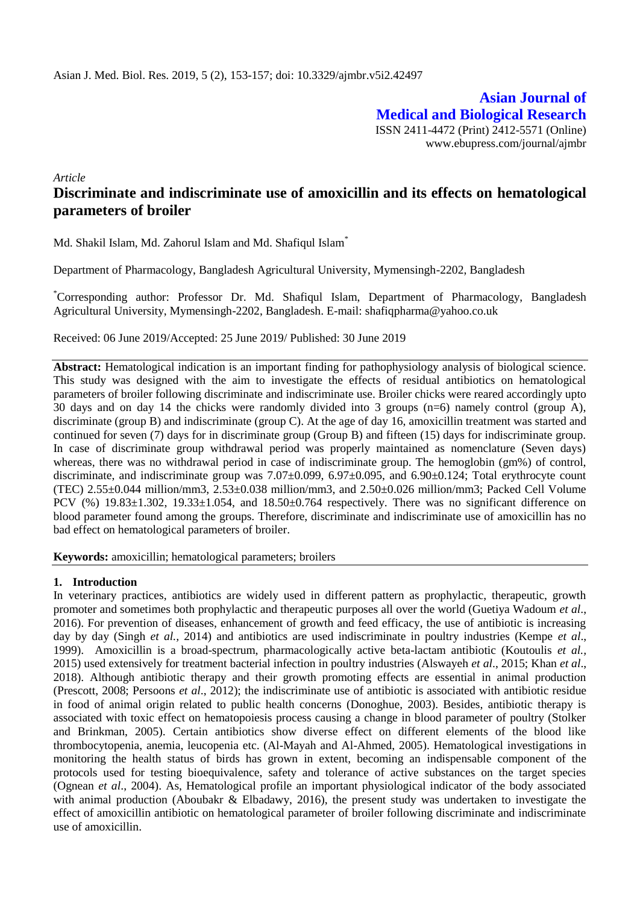**Asian Journal of Medical and Biological Research** ISSN 2411-4472 (Print) 2412-5571 (Online) www.ebupress.com/journal/ajmbr

*Article*

# **Discriminate and indiscriminate use of amoxicillin and its effects on hematological parameters of broiler**

Md. Shakil Islam, Md. Zahorul Islam and Md. Shafiqul Islam\*

Department of Pharmacology, Bangladesh Agricultural University, Mymensingh-2202, Bangladesh

\*Corresponding author: Professor Dr. Md. Shafiqul Islam, Department of Pharmacology, Bangladesh Agricultural University, Mymensingh-2202, Bangladesh. E-mail: shafiqpharma@yahoo.co.uk

Received: 06 June 2019/Accepted: 25 June 2019/ Published: 30 June 2019

**Abstract:** Hematological indication is an important finding for pathophysiology analysis of biological science. This study was designed with the aim to investigate the effects of residual antibiotics on hematological parameters of broiler following discriminate and indiscriminate use. Broiler chicks were reared accordingly upto 30 days and on day 14 the chicks were randomly divided into 3 groups (n=6) namely control (group A), discriminate (group B) and indiscriminate (group C). At the age of day 16, amoxicillin treatment was started and continued for seven (7) days for in discriminate group (Group B) and fifteen (15) days for indiscriminate group. In case of discriminate group withdrawal period was properly maintained as nomenclature (Seven days) whereas, there was no withdrawal period in case of indiscriminate group. The hemoglobin (gm%) of control, discriminate, and indiscriminate group was 7.07±0.099, 6.97±0.095, and 6.90±0.124; Total erythrocyte count (TEC) 2.55±0.044 million/mm3, 2.53±0.038 million/mm3, and 2.50±0.026 million/mm3; Packed Cell Volume PCV (%)  $19.83\pm1.302$ ,  $19.33\pm1.054$ , and  $18.50\pm0.764$  respectively. There was no significant difference on blood parameter found among the groups. Therefore, discriminate and indiscriminate use of amoxicillin has no bad effect on hematological parameters of broiler.

**Keywords:** amoxicillin; hematological parameters; broilers

### **1. Introduction**

In veterinary practices, antibiotics are widely used in different pattern as prophylactic, therapeutic, growth promoter and sometimes both prophylactic and therapeutic purposes all over the world (Guetiya Wadoum *et al*., 2016). For prevention of diseases, enhancement of growth and feed efficacy, the use of antibiotic is increasing day by day (Singh *et al.,* 2014) and antibiotics are used indiscriminate in poultry industries (Kempe *et al*., 1999). Amoxicillin is a broad-spectrum, pharmacologically active beta-lactam antibiotic (Koutoulis *et al.,* 2015) used extensively for treatment bacterial infection in poultry industries (Alswayeh *et al*., 2015; Khan *et al*., 2018). Although antibiotic therapy and their growth promoting effects are essential in animal production (Prescott, 2008; Persoons *et al*., 2012); the indiscriminate use of antibiotic is associated with antibiotic residue in food of animal origin related to public health concerns (Donoghue, 2003). Besides, antibiotic therapy is associated with toxic effect on hematopoiesis process causing a change in blood parameter of poultry (Stolker and Brinkman, 2005). Certain antibiotics show diverse effect on different elements of the blood like thrombocytopenia, anemia, leucopenia etc. (Al-Mayah and Al-Ahmed, 2005). Hematological investigations in monitoring the health status of birds has grown in extent, becoming an indispensable component of the protocols used for testing bioequivalence, safety and tolerance of active substances on the target species (Ognean *et al*., 2004). As, Hematological profile an important physiological indicator of the body associated with animal production (Aboubakr & Elbadawy, 2016), the present study was undertaken to investigate the effect of amoxicillin antibiotic on hematological parameter of broiler following discriminate and indiscriminate use of amoxicillin.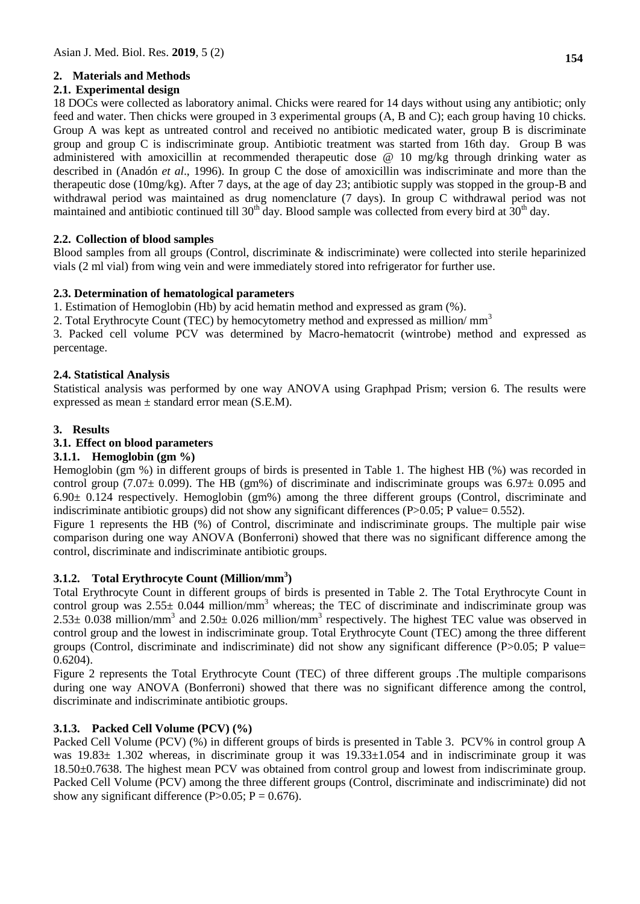## **2. Materials and Methods**

## **2.1. Experimental design**

18 DOCs were collected as laboratory animal. Chicks were reared for 14 days without using any antibiotic; only feed and water. Then chicks were grouped in 3 experimental groups (A, B and C); each group having 10 chicks. Group A was kept as untreated control and received no antibiotic medicated water, group B is discriminate group and group C is indiscriminate group. Antibiotic treatment was started from 16th day. Group B was administered with amoxicillin at recommended therapeutic dose @ 10 mg/kg through drinking water as described in (Anadón *et al*., 1996). In group C the dose of amoxicillin was indiscriminate and more than the therapeutic dose (10mg/kg). After 7 days, at the age of day 23; antibiotic supply was stopped in the group-B and withdrawal period was maintained as drug nomenclature (7 days). In group C withdrawal period was not maintained and antibiotic continued till  $30<sup>th</sup>$  day. Blood sample was collected from every bird at  $30<sup>th</sup>$  day.

## **2.2. Collection of blood samples**

Blood samples from all groups (Control, discriminate & indiscriminate) were collected into sterile heparinized vials (2 ml vial) from wing vein and were immediately stored into refrigerator for further use.

### **2.3. Determination of hematological parameters**

1. Estimation of Hemoglobin (Hb) by acid hematin method and expressed as gram (%).

2. Total Erythrocyte Count (TEC) by hemocytometry method and expressed as million/ mm<sup>3</sup>

3. Packed cell volume PCV was determined by Macro-hematocrit (wintrobe) method and expressed as percentage.

## **2.4. Statistical Analysis**

Statistical analysis was performed by one way ANOVA using Graphpad Prism; version 6. The results were expressed as mean  $\pm$  standard error mean (S.E.M).

## **3. Results**

## **3.1. Effect on blood parameters**

### **3.1.1. Hemoglobin (gm %)**

Hemoglobin (gm %) in different groups of birds is presented in Table 1. The highest HB (%) was recorded in control group (7.07 $\pm$  0.099). The HB (gm%) of discriminate and indiscriminate groups was 6.97 $\pm$  0.095 and  $6.90± 0.124$  respectively. Hemoglobin (gm%) among the three different groups (Control, discriminate and indiscriminate antibiotic groups) did not show any significant differences (P>0.05; P value= 0.552).

Figure 1 represents the HB (%) of Control, discriminate and indiscriminate groups. The multiple pair wise comparison during one way ANOVA (Bonferroni) showed that there was no significant difference among the control, discriminate and indiscriminate antibiotic groups.

## **3.1.2. Total Erythrocyte Count (Million/mm<sup>3</sup> )**

Total Erythrocyte Count in different groups of birds is presented in Table 2. The Total Erythrocyte Count in control group was  $2.55\pm 0.044$  million/mm<sup>3</sup> whereas; the TEC of discriminate and indiscriminate group was  $2.53\pm 0.038$  million/mm<sup>3</sup> and  $2.50\pm 0.026$  million/mm<sup>3</sup> respectively. The highest TEC value was observed in control group and the lowest in indiscriminate group. Total Erythrocyte Count (TEC) among the three different groups (Control, discriminate and indiscriminate) did not show any significant difference (P>0.05; P value= 0.6204).

Figure 2 represents the Total Erythrocyte Count (TEC) of three different groups .The multiple comparisons during one way ANOVA (Bonferroni) showed that there was no significant difference among the control, discriminate and indiscriminate antibiotic groups.

## **3.1.3. Packed Cell Volume (PCV) (%)**

Packed Cell Volume (PCV) (%) in different groups of birds is presented in Table 3. PCV% in control group A was 19.83± 1.302 whereas, in discriminate group it was 19.33±1.054 and in indiscriminate group it was 18.50±0.7638. The highest mean PCV was obtained from control group and lowest from indiscriminate group. Packed Cell Volume (PCV) among the three different groups (Control, discriminate and indiscriminate) did not show any significant difference (P $>0.05$ ; P = 0.676).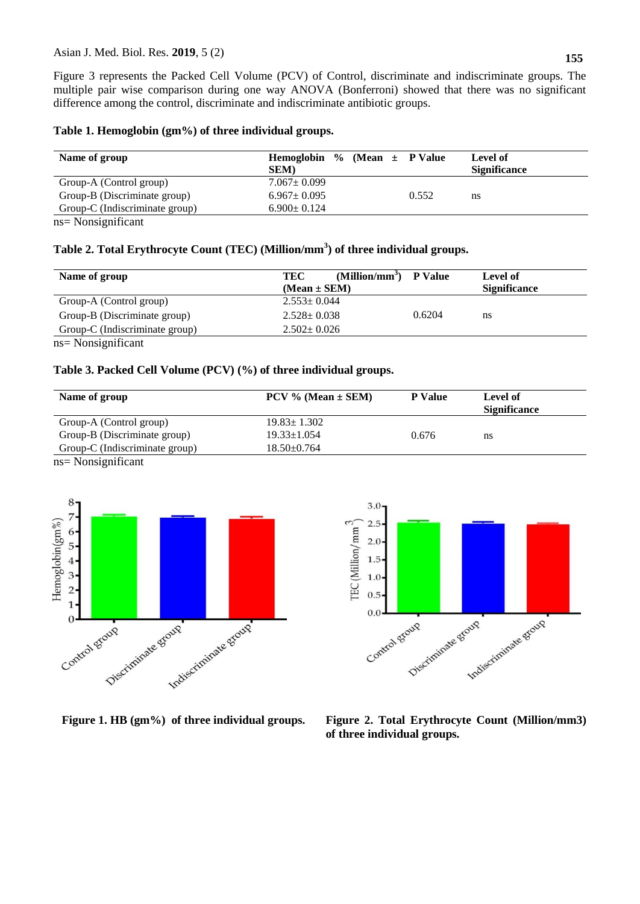Figure 3 represents the Packed Cell Volume (PCV) of Control, discriminate and indiscriminate groups. The multiple pair wise comparison during one way ANOVA (Bonferroni) showed that there was no significant difference among the control, discriminate and indiscriminate antibiotic groups.

### **Table 1. Hemoglobin (gm%) of three individual groups.**

| Name of group                                       | Hemoglobin % (Mean $\pm$ P Value |       | Level of            |
|-----------------------------------------------------|----------------------------------|-------|---------------------|
|                                                     | <b>SEM</b> )                     |       | <b>Significance</b> |
| Group-A (Control group)                             | $7.067 \pm 0.099$                |       |                     |
| Group-B (Discriminate group)                        | $6.967 \pm 0.095$                | 0.552 | ns                  |
| Group-C (Indiscriminate group)                      | $6.900 \pm 0.124$                |       |                     |
| $\mathbf{r}$ $\mathbf{r}$ $\mathbf{r}$ $\mathbf{r}$ |                                  |       |                     |

ns= Nonsignificant

### **Table 2. Total Erythrocyte Count (TEC) (Million/mm<sup>3</sup> ) of three individual groups.**

| Name of group                  | $(Million/mm^3)$<br><b>P</b> Value<br>TEC | Level of            |
|--------------------------------|-------------------------------------------|---------------------|
|                                | $(Mean \pm SEM)$                          | <b>Significance</b> |
| Group-A (Control group)        | $2.553 \pm 0.044$                         |                     |
| Group-B (Discriminate group)   | $2.528 \pm 0.038$<br>0.6204               | ns                  |
| Group-C (Indiscriminate group) | $2.502 \pm 0.026$                         |                     |
| $ns = Nonsignificant$          |                                           |                     |

### **Table 3. Packed Cell Volume (PCV) (%) of three individual groups.**

| Name of group                  | $PCV$ % (Mean $\pm$ SEM) | <b>P</b> Value | Level of<br><b>Significance</b> |
|--------------------------------|--------------------------|----------------|---------------------------------|
| Group-A (Control group)        | $19.83 \pm 1.302$        |                |                                 |
| Group-B (Discriminate group)   | $19.33 \pm 1.054$        | 0.676          | ns                              |
| Group-C (Indiscriminate group) | $18.50 \pm 0.764$        |                |                                 |

ns= Nonsignificant





**Figure 1. HB (gm%) of three individual groups. Figure 2. Total Erythrocyte Count (Million/mm3) of three individual groups.**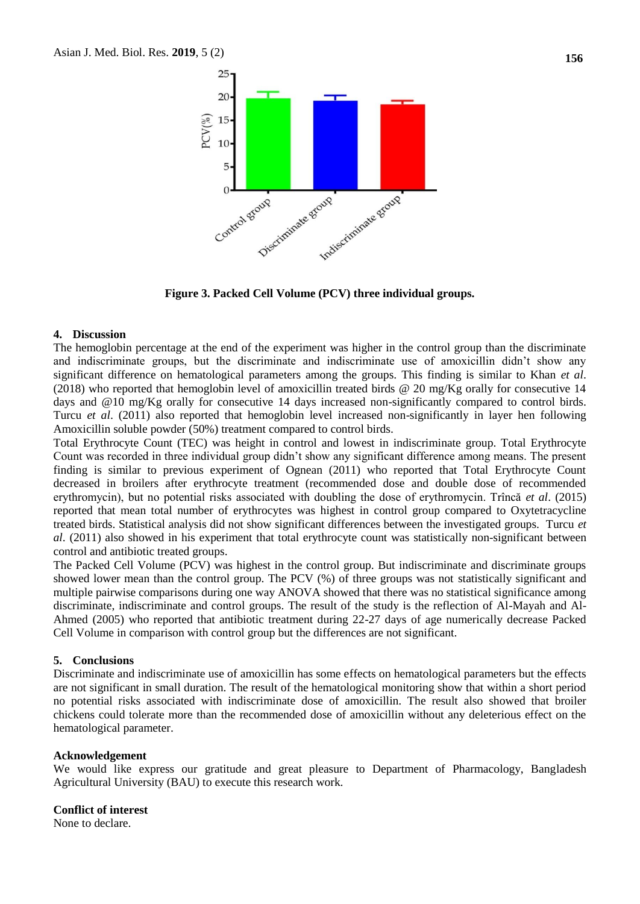

**Figure 3. Packed Cell Volume (PCV) three individual groups.**

#### **4. Discussion**

The hemoglobin percentage at the end of the experiment was higher in the control group than the discriminate and indiscriminate groups, but the discriminate and indiscriminate use of amoxicillin didn't show any significant difference on hematological parameters among the groups. This finding is similar to Khan *et al*. (2018) who reported that hemoglobin level of amoxicillin treated birds  $@$  20 mg/Kg orally for consecutive 14 days and @10 mg/Kg orally for consecutive 14 days increased non-significantly compared to control birds. Turcu *et al*. (2011) also reported that hemoglobin level increased non-significantly in layer hen following Amoxicillin soluble powder (50%) treatment compared to control birds.

Total Erythrocyte Count (TEC) was height in control and lowest in indiscriminate group. Total Erythrocyte Count was recorded in three individual group didn't show any significant difference among means. The present finding is similar to previous experiment of Ognean (2011) who reported that Total Erythrocyte Count decreased in broilers after erythrocyte treatment (recommended dose and double dose of recommended erythromycin), but no potential risks associated with doubling the dose of erythromycin. Trîncă *et al*. (2015) reported that mean total number of erythrocytes was highest in control group compared to Oxytetracycline treated birds. Statistical analysis did not show significant differences between the investigated groups. Turcu *et al*. (2011) also showed in his experiment that total erythrocyte count was statistically non-significant between control and antibiotic treated groups.

The Packed Cell Volume (PCV) was highest in the control group. But indiscriminate and discriminate groups showed lower mean than the control group. The PCV (%) of three groups was not statistically significant and multiple pairwise comparisons during one way ANOVA showed that there was no statistical significance among discriminate, indiscriminate and control groups. The result of the study is the reflection of Al-Mayah and Al-Ahmed (2005) who reported that antibiotic treatment during 22-27 days of age numerically decrease Packed Cell Volume in comparison with control group but the differences are not significant.

### **5. Conclusions**

Discriminate and indiscriminate use of amoxicillin has some effects on hematological parameters but the effects are not significant in small duration. The result of the hematological monitoring show that within a short period no potential risks associated with indiscriminate dose of amoxicillin. The result also showed that broiler chickens could tolerate more than the recommended dose of amoxicillin without any deleterious effect on the hematological parameter.

#### **Acknowledgement**

We would like express our gratitude and great pleasure to Department of Pharmacology, Bangladesh Agricultural University (BAU) to execute this research work.

#### **Conflict of interest**

None to declare.